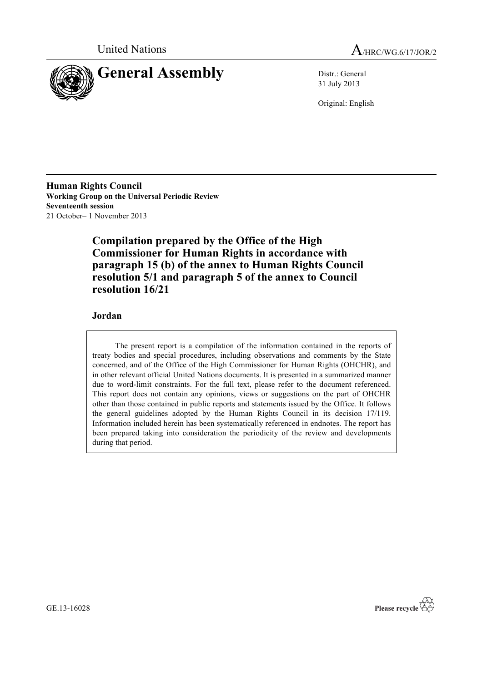



31 July 2013

Original: English

**Human Rights Council Working Group on the Universal Periodic Review Seventeenth session** 21 October– 1 November 2013

> **Compilation prepared by the Office of the High Commissioner for Human Rights in accordance with paragraph 15 (b) of the annex to Human Rights Council resolution 5/1 and paragraph 5 of the annex to Council resolution 16/21**

## **Jordan**

The present report is a compilation of the information contained in the reports of treaty bodies and special procedures, including observations and comments by the State concerned, and of the Office of the High Commissioner for Human Rights (OHCHR), and in other relevant official United Nations documents. It is presented in a summarized manner due to word-limit constraints. For the full text, please refer to the document referenced. This report does not contain any opinions, views or suggestions on the part of OHCHR other than those contained in public reports and statements issued by the Office. It follows the general guidelines adopted by the Human Rights Council in its decision 17/119. Information included herein has been systematically referenced in endnotes. The report has been prepared taking into consideration the periodicity of the review and developments during that period.



GE.13-16028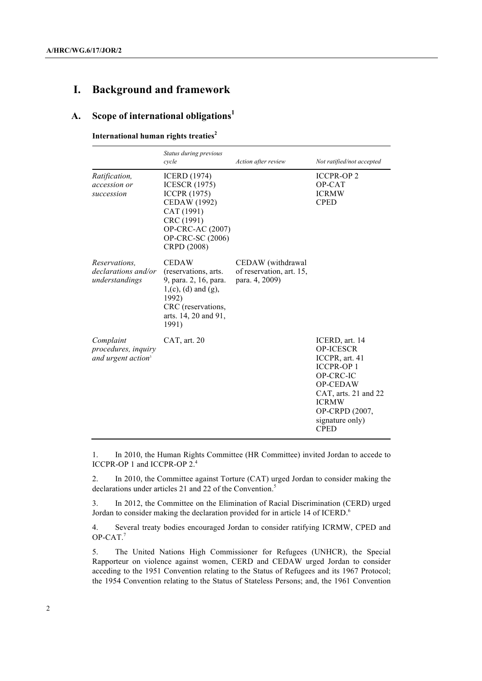# **I. Background and framework**

## **A. Scope of international obligations<sup>1</sup>**

**International human rights treaties<sup>2</sup>**

|                                                                      | Status during previous<br>cycle                                                                                                                                              | Action after review                                             | Not ratified/not accepted                                                                                                                                                                                   |
|----------------------------------------------------------------------|------------------------------------------------------------------------------------------------------------------------------------------------------------------------------|-----------------------------------------------------------------|-------------------------------------------------------------------------------------------------------------------------------------------------------------------------------------------------------------|
| Ratification,<br>accession or<br>succession                          | <b>ICERD</b> (1974)<br><b>ICESCR (1975)</b><br><b>ICCPR</b> (1975)<br>CEDAW (1992)<br>CAT (1991)<br>CRC (1991)<br>OP-CRC-AC (2007)<br><b>OP-CRC-SC (2006)</b><br>CRPD (2008) |                                                                 | <b>ICCPR-OP2</b><br>OP-CAT<br><b>ICRMW</b><br><b>CPED</b>                                                                                                                                                   |
| <i>Reservations.</i><br><i>declarations and/or</i><br>understandings | <b>CEDAW</b><br>(reservations, arts.<br>9, para. 2, 16, para.<br>$1, (c), (d)$ and $(g),$<br>1992)<br>CRC (reservations,<br>arts. 14, 20 and 91,<br>1991)                    | CEDAW (withdrawal<br>of reservation, art. 15,<br>para. 4, 2009) |                                                                                                                                                                                                             |
| Complaint<br>procedures, inquiry<br>and urgent action <sup>3</sup>   | CAT, art. 20                                                                                                                                                                 |                                                                 | ICERD, art. 14<br><b>OP-ICESCR</b><br>ICCPR, art. 41<br><b>ICCPR-OP1</b><br>OP-CRC-IC<br><b>OP-CEDAW</b><br>CAT, arts. 21 and 22<br><b>ICRMW</b><br><b>OP-CRPD (2007,</b><br>signature only)<br><b>CPED</b> |

1. In 2010, the Human Rights Committee (HR Committee) invited Jordan to accede to ICCPR-OP 1 and ICCPR-OP 2.4

2. In 2010, the Committee against Torture (CAT) urged Jordan to consider making the declarations under articles 21 and 22 of the Convention.<sup>5</sup>

3. In 2012, the Committee on the Elimination of Racial Discrimination (CERD) urged Jordan to consider making the declaration provided for in article 14 of ICERD.<sup>6</sup>

4. Several treaty bodies encouraged Jordan to consider ratifying ICRMW, CPED and OP-CAT.<sup>7</sup>

5. The United Nations High Commissioner for Refugees (UNHCR), the Special Rapporteur on violence against women, CERD and CEDAW urged Jordan to consider acceding to the 1951 Convention relating to the Status of Refugees and its 1967 Protocol; the 1954 Convention relating to the Status of Stateless Persons; and, the 1961 Convention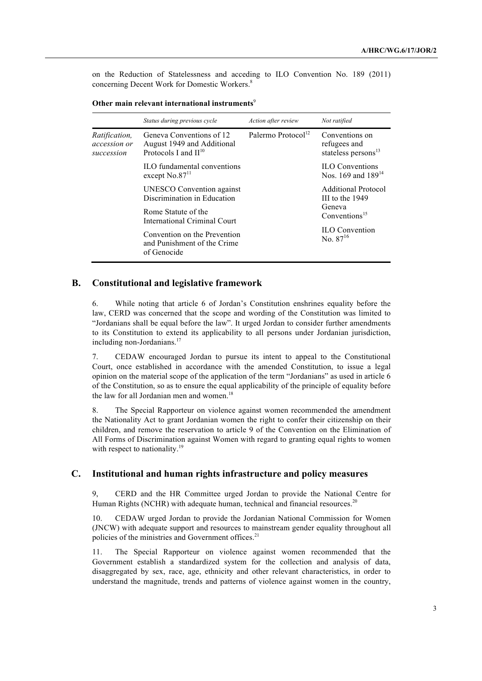on the Reduction of Statelessness and acceding to ILO Convention No. 189 (2011) concerning Decent Work for Domestic Workers.8

|                                                    | Status during previous cycle                                                        | Action after review            | Not ratified                                                      |
|----------------------------------------------------|-------------------------------------------------------------------------------------|--------------------------------|-------------------------------------------------------------------|
| <i>Ratification,</i><br>accession or<br>succession | Geneva Conventions of 12<br>August 1949 and Additional<br>Protocols I and $II^{10}$ | Palermo Protocol <sup>12</sup> | Conventions on<br>refugees and<br>stateless persons <sup>13</sup> |
|                                                    | ILO fundamental conventions<br>except $No.8711$                                     |                                | <b>ILO</b> Conventions<br>Nos. 169 and 189 <sup>14</sup>          |
|                                                    | UNESCO Convention against<br>Discrimination in Education                            |                                | <b>Additional Protocol</b><br>III to the $1949$                   |
|                                                    | Rome Statute of the<br>International Criminal Court                                 |                                | Geneva<br>Conventions <sup>15</sup>                               |
|                                                    | Convention on the Prevention<br>and Punishment of the Crime<br>of Genocide          |                                | <b>ILO</b> Convention<br>No. $87^{16}$                            |
|                                                    |                                                                                     |                                |                                                                   |

#### **B. Constitutional and legislative framework**

6. While noting that article 6 of Jordan's Constitution enshrines equality before the law, CERD was concerned that the scope and wording of the Constitution was limited to "Jordanians shall be equal before the law". It urged Jordan to consider further amendments to its Constitution to extend its applicability to all persons under Jordanian jurisdiction, including non-Jordanians.<sup>17</sup>

7. CEDAW encouraged Jordan to pursue its intent to appeal to the Constitutional Court, once established in accordance with the amended Constitution, to issue a legal opinion on the material scope of the application of the term "Jordanians" as used in article 6 of the Constitution, so as to ensure the equal applicability of the principle of equality before the law for all Jordanian men and women.<sup>18</sup>

8. The Special Rapporteur on violence against women recommended the amendment the Nationality Act to grant Jordanian women the right to confer their citizenship on their children, and remove the reservation to article 9 of the Convention on the Elimination of All Forms of Discrimination against Women with regard to granting equal rights to women with respect to nationality.<sup>19</sup>

#### **C. Institutional and human rights infrastructure and policy measures**

9, CERD and the HR Committee urged Jordan to provide the National Centre for Human Rights (NCHR) with adequate human, technical and financial resources.<sup>20</sup>

10. CEDAW urged Jordan to provide the Jordanian National Commission for Women (JNCW) with adequate support and resources to mainstream gender equality throughout all policies of the ministries and Government offices.<sup>21</sup>

11. The Special Rapporteur on violence against women recommended that the Government establish a standardized system for the collection and analysis of data, disaggregated by sex, race, age, ethnicity and other relevant characteristics, in order to understand the magnitude, trends and patterns of violence against women in the country,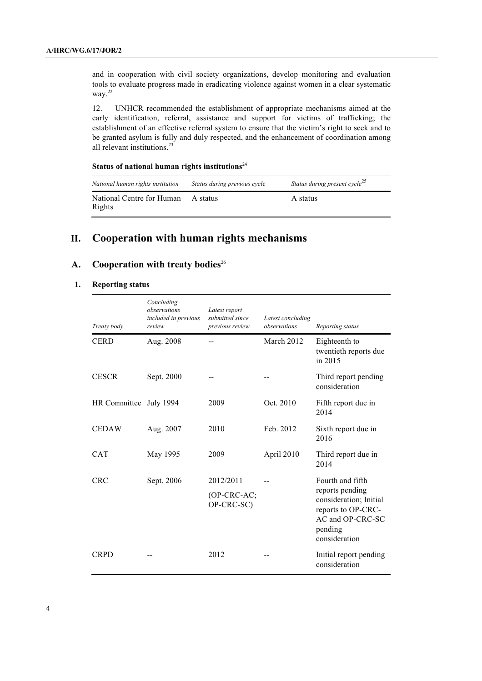and in cooperation with civil society organizations, develop monitoring and evaluation tools to evaluate progress made in eradicating violence against women in a clear systematic way.<sup>22</sup>

12. UNHCR recommended the establishment of appropriate mechanisms aimed at the early identification, referral, assistance and support for victims of trafficking; the establishment of an effective referral system to ensure that the victim's right to seek and to be granted asylum is fully and duly respected, and the enhancement of coordination among all relevant institutions.<sup>23</sup>

## **Status of national human rights institutions**<sup>24</sup>

| National human rights institution   | Status during previous cycle | Status during present cycle <sup>25</sup> |
|-------------------------------------|------------------------------|-------------------------------------------|
| National Centre for Human<br>Rights | A status                     | A status                                  |

# **II. Cooperation with human rights mechanisms**

## A. Cooperation with treaty bodies<sup>26</sup>

#### **1. Reporting status**

| Treaty body            | Concluding<br>observations<br>included in previous<br>review | Latest report<br>submitted since<br>previous review | Latest concluding<br>observations | Reporting status                                                                                                |
|------------------------|--------------------------------------------------------------|-----------------------------------------------------|-----------------------------------|-----------------------------------------------------------------------------------------------------------------|
| <b>CERD</b>            | Aug. 2008                                                    |                                                     | March 2012                        | Eighteenth to<br>twentieth reports due<br>in 2015                                                               |
| <b>CESCR</b>           | Sept. 2000                                                   |                                                     |                                   | Third report pending<br>consideration                                                                           |
| HR Committee July 1994 |                                                              | 2009                                                | Oct. 2010                         | Fifth report due in<br>2014                                                                                     |
| <b>CEDAW</b>           | Aug. 2007                                                    | 2010                                                | Feb. 2012                         | Sixth report due in<br>2016                                                                                     |
| <b>CAT</b>             | May 1995                                                     | 2009                                                | April 2010                        | Third report due in<br>2014                                                                                     |
| <b>CRC</b>             | Sept. 2006                                                   | 2012/2011                                           |                                   | Fourth and fifth                                                                                                |
|                        |                                                              | (OP-CRC-AC;<br>OP-CRC-SC)                           |                                   | reports pending<br>consideration; Initial<br>reports to OP-CRC-<br>AC and OP-CRC-SC<br>pending<br>consideration |
| <b>CRPD</b>            |                                                              | 2012                                                |                                   | Initial report pending<br>consideration                                                                         |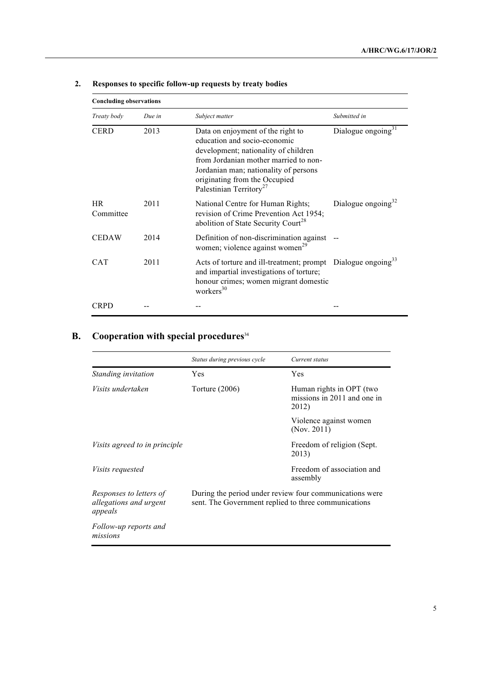| <b>Concluding observations</b> |        |                                                                                                                                                                                                                                                                     |                                |
|--------------------------------|--------|---------------------------------------------------------------------------------------------------------------------------------------------------------------------------------------------------------------------------------------------------------------------|--------------------------------|
| Treaty body                    | Due in | Subject matter                                                                                                                                                                                                                                                      | Submitted in                   |
| <b>CERD</b>                    | 2013   | Data on enjoyment of the right to<br>education and socio-economic<br>development; nationality of children<br>from Jordanian mother married to non-<br>Jordanian man; nationality of persons<br>originating from the Occupied<br>Palestinian Territory <sup>27</sup> | Dialogue ongoing <sup>31</sup> |
| <b>HR</b><br>Committee         | 2011   | National Centre for Human Rights;<br>revision of Crime Prevention Act 1954;<br>abolition of State Security Court <sup>28</sup>                                                                                                                                      | Dialogue ongoing $32$          |
| <b>CEDAW</b>                   | 2014   | Definition of non-discrimination against<br>women; violence against women <sup>29</sup>                                                                                                                                                                             |                                |
| <b>CAT</b>                     | 2011   | Acts of torture and ill-treatment; prompt Dialogue ongoing <sup>33</sup><br>and impartial investigations of torture;<br>honour crimes; women migrant domestic<br>workers $30$                                                                                       |                                |
| CRPD                           |        |                                                                                                                                                                                                                                                                     |                                |

# **2. Responses to specific follow-up requests by treaty bodies**

# **B. Cooperation with special procedures**<sup>34</sup>

|                                                              | Status during previous cycle                                                                                    | Current status                                                   |
|--------------------------------------------------------------|-----------------------------------------------------------------------------------------------------------------|------------------------------------------------------------------|
| Standing invitation                                          | Yes                                                                                                             | Yes                                                              |
| <i>Visits undertaken</i>                                     | Torture $(2006)$                                                                                                | Human rights in OPT (two<br>missions in 2011 and one in<br>2012) |
|                                                              |                                                                                                                 | Violence against women<br>(Nov. 2011)                            |
| <i>Visits agreed to in principle</i>                         |                                                                                                                 | Freedom of religion (Sept.<br>2013)                              |
| <i>Visits requested</i>                                      |                                                                                                                 | Freedom of association and<br>assembly                           |
| Responses to letters of<br>allegations and urgent<br>appeals | During the period under review four communications were<br>sent. The Government replied to three communications |                                                                  |
| Follow-up reports and<br>missions                            |                                                                                                                 |                                                                  |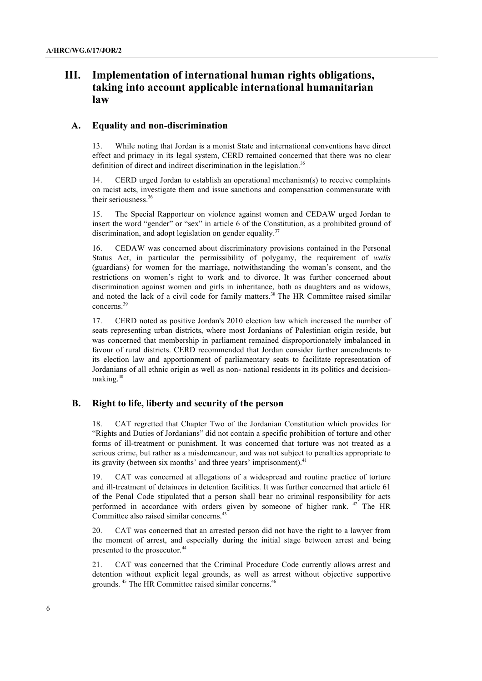# **III. Implementation of international human rights obligations, taking into account applicable international humanitarian law**

#### **A. Equality and non-discrimination**

13. While noting that Jordan is a monist State and international conventions have direct effect and primacy in its legal system, CERD remained concerned that there was no clear definition of direct and indirect discrimination in the legislation.<sup>35</sup>

14. CERD urged Jordan to establish an operational mechanism(s) to receive complaints on racist acts, investigate them and issue sanctions and compensation commensurate with their seriousness. 36

15. The Special Rapporteur on violence against women and CEDAW urged Jordan to insert the word "gender" or "sex" in article 6 of the Constitution, as a prohibited ground of discrimination, and adopt legislation on gender equality. $37$ 

16. CEDAW was concerned about discriminatory provisions contained in the Personal Status Act, in particular the permissibility of polygamy, the requirement of *walis*  (guardians) for women for the marriage, notwithstanding the woman's consent, and the restrictions on women's right to work and to divorce. It was further concerned about discrimination against women and girls in inheritance, both as daughters and as widows, and noted the lack of a civil code for family matters.<sup>38</sup> The HR Committee raised similar concerns. 39

17. CERD noted as positive Jordan's 2010 election law which increased the number of seats representing urban districts, where most Jordanians of Palestinian origin reside, but was concerned that membership in parliament remained disproportionately imbalanced in favour of rural districts. CERD recommended that Jordan consider further amendments to its election law and apportionment of parliamentary seats to facilitate representation of Jordanians of all ethnic origin as well as non- national residents in its politics and decisionmaking.<sup>40</sup>

#### **B. Right to life, liberty and security of the person**

18. CAT regretted that Chapter Two of the Jordanian Constitution which provides for "Rights and Duties of Jordanians" did not contain a specific prohibition of torture and other forms of ill-treatment or punishment. It was concerned that torture was not treated as a serious crime, but rather as a misdemeanour, and was not subject to penalties appropriate to its gravity (between six months' and three years' imprisonment).<sup>41</sup>

19. CAT was concerned at allegations of a widespread and routine practice of torture and ill-treatment of detainees in detention facilities. It was further concerned that article 61 of the Penal Code stipulated that a person shall bear no criminal responsibility for acts performed in accordance with orders given by someone of higher rank. <sup>42</sup> The HR Committee also raised similar concerns.<sup>43</sup>

20. CAT was concerned that an arrested person did not have the right to a lawyer from the moment of arrest, and especially during the initial stage between arrest and being presented to the prosecutor.<sup>44</sup>

21. CAT was concerned that the Criminal Procedure Code currently allows arrest and detention without explicit legal grounds, as well as arrest without objective supportive grounds. <sup>45</sup> The HR Committee raised similar concerns.46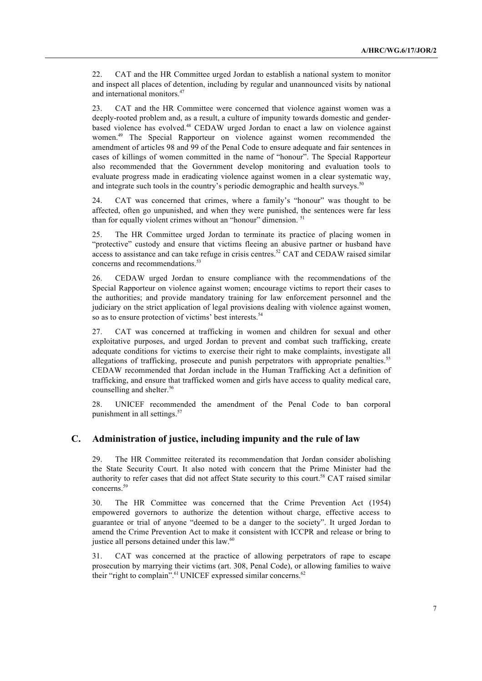22. CAT and the HR Committee urged Jordan to establish a national system to monitor and inspect all places of detention, including by regular and unannounced visits by national and international monitors.47

23. CAT and the HR Committee were concerned that violence against women was a deeply-rooted problem and, as a result, a culture of impunity towards domestic and genderbased violence has evolved.<sup>48</sup> CEDAW urged Jordan to enact a law on violence against women. <sup>49</sup> The Special Rapporteur on violence against women recommended the amendment of articles 98 and 99 of the Penal Code to ensure adequate and fair sentences in cases of killings of women committed in the name of "honour". The Special Rapporteur also recommended that the Government develop monitoring and evaluation tools to evaluate progress made in eradicating violence against women in a clear systematic way, and integrate such tools in the country's periodic demographic and health surveys.<sup>50</sup>

24. CAT was concerned that crimes, where a family's "honour" was thought to be affected, often go unpunished, and when they were punished, the sentences were far less than for equally violent crimes without an "honour" dimension. 51

25. The HR Committee urged Jordan to terminate its practice of placing women in "protective" custody and ensure that victims fleeing an abusive partner or husband have access to assistance and can take refuge in crisis centres.<sup>52</sup> CAT and CEDAW raised similar concerns and recommendations.<sup>53</sup>

26. CEDAW urged Jordan to ensure compliance with the recommendations of the Special Rapporteur on violence against women; encourage victims to report their cases to the authorities; and provide mandatory training for law enforcement personnel and the judiciary on the strict application of legal provisions dealing with violence against women, so as to ensure protection of victims' best interests.<sup>54</sup>

27. CAT was concerned at trafficking in women and children for sexual and other exploitative purposes, and urged Jordan to prevent and combat such trafficking, create adequate conditions for victims to exercise their right to make complaints, investigate all allegations of trafficking, prosecute and punish perpetrators with appropriate penalties.<sup>55</sup> CEDAW recommended that Jordan include in the Human Trafficking Act a definition of trafficking, and ensure that trafficked women and girls have access to quality medical care, counselling and shelter.<sup>56</sup>

28. UNICEF recommended the amendment of the Penal Code to ban corporal punishment in all settings.<sup>57</sup>

#### **C. Administration of justice, including impunity and the rule of law**

29. The HR Committee reiterated its recommendation that Jordan consider abolishing the State Security Court. It also noted with concern that the Prime Minister had the authority to refer cases that did not affect State security to this court.58 CAT raised similar concerns. 59

30. The HR Committee was concerned that the Crime Prevention Act (1954) empowered governors to authorize the detention without charge, effective access to guarantee or trial of anyone "deemed to be a danger to the society". It urged Jordan to amend the Crime Prevention Act to make it consistent with ICCPR and release or bring to justice all persons detained under this law.<sup>60</sup>

31. CAT was concerned at the practice of allowing perpetrators of rape to escape prosecution by marrying their victims (art. 308, Penal Code), or allowing families to waive their "right to complain".<sup>61</sup> UNICEF expressed similar concerns.<sup>62</sup>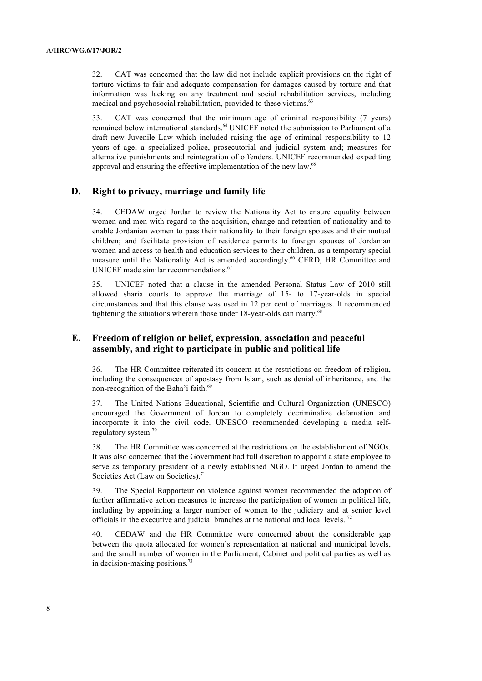32. CAT was concerned that the law did not include explicit provisions on the right of torture victims to fair and adequate compensation for damages caused by torture and that information was lacking on any treatment and social rehabilitation services, including medical and psychosocial rehabilitation, provided to these victims.<sup>63</sup>

33. CAT was concerned that the minimum age of criminal responsibility (7 years) remained below international standards.<sup>64</sup> UNICEF noted the submission to Parliament of a draft new Juvenile Law which included raising the age of criminal responsibility to 12 years of age; a specialized police, prosecutorial and judicial system and; measures for alternative punishments and reintegration of offenders. UNICEF recommended expediting approval and ensuring the effective implementation of the new law.<sup>65</sup>

#### **D. Right to privacy, marriage and family life**

34. CEDAW urged Jordan to review the Nationality Act to ensure equality between women and men with regard to the acquisition, change and retention of nationality and to enable Jordanian women to pass their nationality to their foreign spouses and their mutual children; and facilitate provision of residence permits to foreign spouses of Jordanian women and access to health and education services to their children, as a temporary special measure until the Nationality Act is amended accordingly.<sup>66</sup> CERD, HR Committee and UNICEF made similar recommendations.<sup>67</sup>

35. UNICEF noted that a clause in the amended Personal Status Law of 2010 still allowed sharia courts to approve the marriage of 15- to 17-year-olds in special circumstances and that this clause was used in 12 per cent of marriages. It recommended tightening the situations wherein those under 18-year-olds can marry.<sup>68</sup>

#### **E. Freedom of religion or belief, expression, association and peaceful assembly, and right to participate in public and political life**

36. The HR Committee reiterated its concern at the restrictions on freedom of religion, including the consequences of apostasy from Islam, such as denial of inheritance, and the non-recognition of the Baha'i faith.<sup>69</sup>

37. The United Nations Educational, Scientific and Cultural Organization (UNESCO) encouraged the Government of Jordan to completely decriminalize defamation and incorporate it into the civil code. UNESCO recommended developing a media selfregulatory system. 70

38. The HR Committee was concerned at the restrictions on the establishment of NGOs. It was also concerned that the Government had full discretion to appoint a state employee to serve as temporary president of a newly established NGO. It urged Jordan to amend the Societies Act (Law on Societies).<sup>71</sup>

39. The Special Rapporteur on violence against women recommended the adoption of further affirmative action measures to increase the participation of women in political life, including by appointing a larger number of women to the judiciary and at senior level officials in the executive and judicial branches at the national and local levels. <sup>72</sup>

40. CEDAW and the HR Committee were concerned about the considerable gap between the quota allocated for women's representation at national and municipal levels, and the small number of women in the Parliament, Cabinet and political parties as well as in decision-making positions.<sup>73</sup>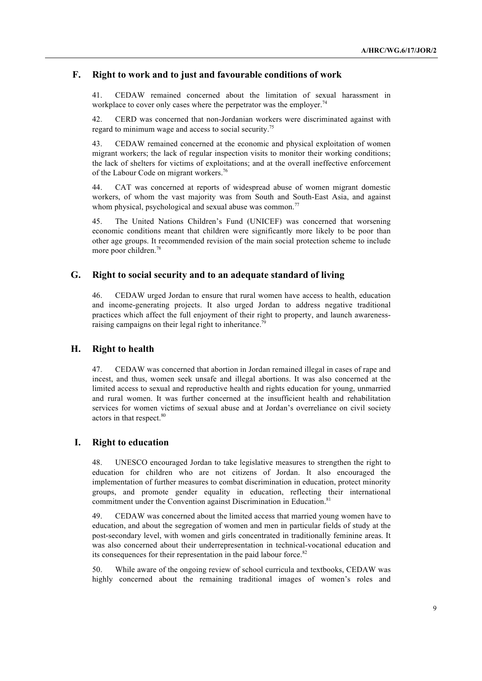#### **F. Right to work and to just and favourable conditions of work**

41. CEDAW remained concerned about the limitation of sexual harassment in workplace to cover only cases where the perpetrator was the employer.<sup>74</sup>

42. CERD was concerned that non-Jordanian workers were discriminated against with regard to minimum wage and access to social security.75

43. CEDAW remained concerned at the economic and physical exploitation of women migrant workers; the lack of regular inspection visits to monitor their working conditions; the lack of shelters for victims of exploitations; and at the overall ineffective enforcement of the Labour Code on migrant workers.<sup>76</sup>

44. CAT was concerned at reports of widespread abuse of women migrant domestic workers, of whom the vast majority was from South and South-East Asia, and against whom physical, psychological and sexual abuse was common.<sup>77</sup>

45. The United Nations Children's Fund (UNICEF) was concerned that worsening economic conditions meant that children were significantly more likely to be poor than other age groups. It recommended revision of the main social protection scheme to include more poor children.<sup>78</sup>

#### **G. Right to social security and to an adequate standard of living**

46. CEDAW urged Jordan to ensure that rural women have access to health, education and income-generating projects. It also urged Jordan to address negative traditional practices which affect the full enjoyment of their right to property, and launch awarenessraising campaigns on their legal right to inheritance.<sup>79</sup>

#### **H. Right to health**

47. CEDAW was concerned that abortion in Jordan remained illegal in cases of rape and incest, and thus, women seek unsafe and illegal abortions. It was also concerned at the limited access to sexual and reproductive health and rights education for young, unmarried and rural women. It was further concerned at the insufficient health and rehabilitation services for women victims of sexual abuse and at Jordan's overreliance on civil society actors in that respect.<sup>80</sup>

#### **I. Right to education**

48. UNESCO encouraged Jordan to take legislative measures to strengthen the right to education for children who are not citizens of Jordan. It also encouraged the implementation of further measures to combat discrimination in education, protect minority groups, and promote gender equality in education, reflecting their international commitment under the Convention against Discrimination in Education.<sup>81</sup>

49. CEDAW was concerned about the limited access that married young women have to education, and about the segregation of women and men in particular fields of study at the post-secondary level, with women and girls concentrated in traditionally feminine areas. It was also concerned about their underrepresentation in technical-vocational education and its consequences for their representation in the paid labour force. $82$ 

50. While aware of the ongoing review of school curricula and textbooks, CEDAW was highly concerned about the remaining traditional images of women's roles and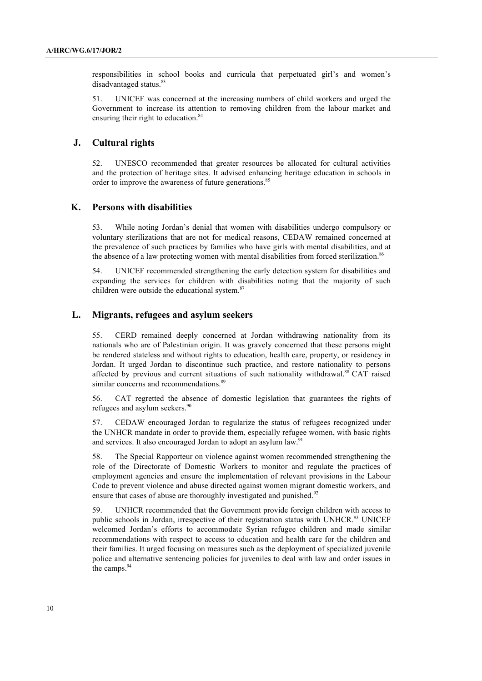responsibilities in school books and curricula that perpetuated girl's and women's disadvantaged status.<sup>83</sup>

51. UNICEF was concerned at the increasing numbers of child workers and urged the Government to increase its attention to removing children from the labour market and ensuring their right to education.<sup>84</sup>

#### **J. Cultural rights**

52. UNESCO recommended that greater resources be allocated for cultural activities and the protection of heritage sites. It advised enhancing heritage education in schools in order to improve the awareness of future generations.<sup>85</sup>

#### **K. Persons with disabilities**

53. While noting Jordan's denial that women with disabilities undergo compulsory or voluntary sterilizations that are not for medical reasons, CEDAW remained concerned at the prevalence of such practices by families who have girls with mental disabilities, and at the absence of a law protecting women with mental disabilities from forced sterilization.<sup>86</sup>

54. UNICEF recommended strengthening the early detection system for disabilities and expanding the services for children with disabilities noting that the majority of such children were outside the educational system.<sup>87</sup>

#### **L. Migrants, refugees and asylum seekers**

55. CERD remained deeply concerned at Jordan withdrawing nationality from its nationals who are of Palestinian origin. It was gravely concerned that these persons might be rendered stateless and without rights to education, health care, property, or residency in Jordan. It urged Jordan to discontinue such practice, and restore nationality to persons affected by previous and current situations of such nationality withdrawal.88 CAT raised similar concerns and recommendations.<sup>89</sup>

56. CAT regretted the absence of domestic legislation that guarantees the rights of refugees and asylum seekers.<sup>90</sup>

57. CEDAW encouraged Jordan to regularize the status of refugees recognized under the UNHCR mandate in order to provide them, especially refugee women, with basic rights and services. It also encouraged Jordan to adopt an asylum law.<sup>91</sup>

58. The Special Rapporteur on violence against women recommended strengthening the role of the Directorate of Domestic Workers to monitor and regulate the practices of employment agencies and ensure the implementation of relevant provisions in the Labour Code to prevent violence and abuse directed against women migrant domestic workers, and ensure that cases of abuse are thoroughly investigated and punished.<sup>92</sup>

59. UNHCR recommended that the Government provide foreign children with access to public schools in Jordan, irrespective of their registration status with UNHCR.<sup>93</sup> UNICEF welcomed Jordan's efforts to accommodate Syrian refugee children and made similar recommendations with respect to access to education and health care for the children and their families. It urged focusing on measures such as the deployment of specialized juvenile police and alternative sentencing policies for juveniles to deal with law and order issues in the camps.<sup>94</sup>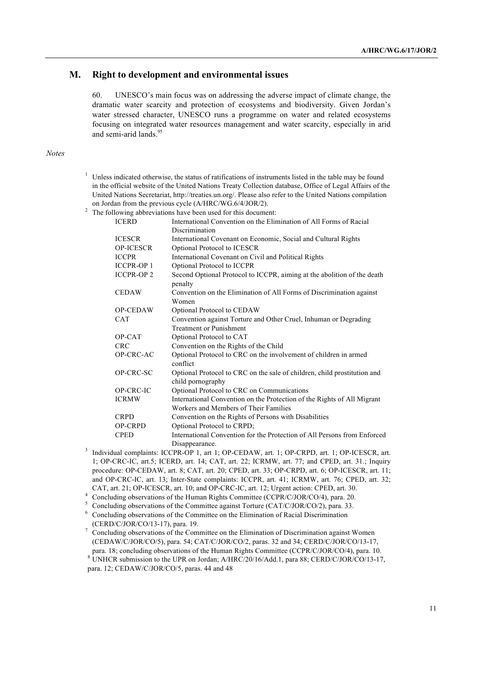## **M. Right to development and environmental issues**

60. UNESCO's main focus was on addressing the adverse impact of climate change, the dramatic water scarcity and protection of ecosystems and biodiversity. Given Jordan's water stressed character, UNESCO runs a programme on water and related ecosystems focusing on integrated water resources management and water scarcity, especially in arid and semi-arid lands.<sup>95</sup>

#### *Notes*

 $1$  Unless indicated otherwise, the status of ratifications of instruments listed in the table may be found in the official website of the United Nations Treaty Collection database, Office of Legal Affairs of the United Nations Secretariat, http://treaties.un.org/. Please also refer to the United Nations compilation on Jordan from the previous cycle (A/HRC/WG.6/4/JOR/2).

<sup>2</sup> The following abbreviations have been used for this document:

| <b>ICERD</b>     | International Convention on the Elimination of All Forms of Racial                            |
|------------------|-----------------------------------------------------------------------------------------------|
|                  | Discrimination                                                                                |
| <b>ICESCR</b>    | International Covenant on Economic, Social and Cultural Rights                                |
| <b>OP-ICESCR</b> | Optional Protocol to ICESCR                                                                   |
| <b>ICCPR</b>     | International Covenant on Civil and Political Rights                                          |
| <b>ICCPR-OP1</b> | Optional Protocol to ICCPR                                                                    |
| <b>ICCPR-OP2</b> | Second Optional Protocol to ICCPR, aiming at the abolition of the death<br>penalty            |
| <b>CEDAW</b>     | Convention on the Elimination of All Forms of Discrimination against<br>Women                 |
| <b>OP-CEDAW</b>  | Optional Protocol to CEDAW                                                                    |
| <b>CAT</b>       | Convention against Torture and Other Cruel, Inhuman or Degrading                              |
|                  | <b>Treatment or Punishment</b>                                                                |
| OP-CAT           | Optional Protocol to CAT                                                                      |
| <b>CRC</b>       | Convention on the Rights of the Child                                                         |
| OP-CRC-AC        | Optional Protocol to CRC on the involvement of children in armed<br>conflict                  |
| OP-CRC-SC        | Optional Protocol to CRC on the sale of children, child prostitution and<br>child pornography |
| OP-CRC-IC        | Optional Protocol to CRC on Communications                                                    |
| <b>ICRMW</b>     | International Convention on the Protection of the Rights of All Migrant                       |
|                  | Workers and Members of Their Families                                                         |
| <b>CRPD</b>      | Convention on the Rights of Persons with Disabilities                                         |
| <b>OP-CRPD</b>   | Optional Protocol to CRPD;                                                                    |
| <b>CPED</b>      | International Convention for the Protection of All Persons from Enforced                      |
|                  | Disappearance.<br>.                                                                           |

<sup>3</sup> Individual complaints: ICCPR-OP 1, art 1; OP-CEDAW, art. 1; OP-CRPD, art. 1; OP-ICESCR, art. 1; OP-CRC-IC, art.5; ICERD, art. 14; CAT, art. 22; ICRMW, art. 77; and CPED, art. 31.; Inquiry procedure: OP-CEDAW, art. 8; CAT, art. 20; CPED, art. 33; OP-CRPD, art. 6; OP-ICESCR, art. 11; and OP-CRC-IC, art. 13; Inter-State complaints: ICCPR, art. 41; ICRMW, art. 76; CPED, art. 32; CAT, art. 21; OP-ICESCR, art. 10; and OP-CRC-IC, art. 12; Urgent action: CPED, art. 30.

<sup>4</sup> Concluding observations of the Human Rights Committee (CCPR/C/JOR/CO/4), para. 20.

- <sup>5</sup> Concluding observations of the Committee against Torture (CAT/C/JOR/CO/2), para. 33.
- <sup>6</sup> Concluding observations of the Committee on the Elimination of Racial Discrimination (CERD/C/JOR/CO/13-17), para. 19.
- <sup>7</sup> Concluding observations of the Committee on the Elimination of Discrimination against Women (CEDAW/C/JOR/CO/5), para. 54; CAT/C/JOR/CO/2, paras. 32 and 34; CERD/C/JOR/CO/13-17, para. 18; concluding observations of the Human Rights Committee (CCPR/C/JOR/CO/4), para. 10.
- 8 UNHCR submission to the UPR on Jordan; A/HRC/20/16/Add.1, para 88; CERD/C/JOR/CO/13-17, para. 12; CEDAW/C/JOR/CO/5, paras. 44 and 48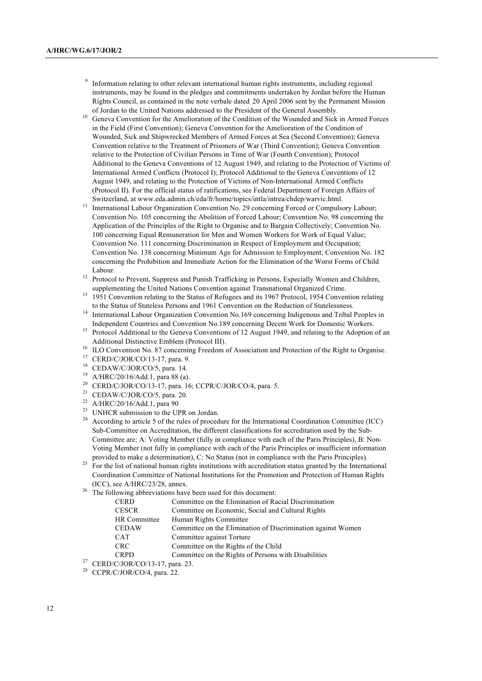- Information relating to other relevant international human rights instruments, including regional instruments, may be found in the pledges and commitments undertaken by Jordan before the Human Rights Council, as contained in the note verbale dated 20 April 2006 sent by the Permanent Mission
- of Jordan to the United Nations addressed to the President of the General Assembly. 10 Geneva Convention for the Amelioration of the Condition of the Wounded and Sick in Armed Forces in the Field (First Convention); Geneva Convention for the Amelioration of the Condition of Wounded, Sick and Shipwrecked Members of Armed Forces at Sea (Second Convention); Geneva Convention relative to the Treatment of Prisoners of War (Third Convention); Geneva Convention relative to the Protection of Civilian Persons in Time of War (Fourth Convention); Protocol Additional to the Geneva Conventions of 12 August 1949, and relating to the Protection of Victims of International Armed Conflicts (Protocol I); Protocol Additional to the Geneva Conventions of 12 August 1949, and relating to the Protection of Victims of Non-International Armed Conflicts (Protocol II). For the official status of ratifications, see Federal Department of Foreign Affairs of Switzerland, at www.eda.admin.ch/eda/fr/home/topics/intla/intrea/chdep/warvic.html.
- <sup>11</sup> International Labour Organization Convention No. 29 concerning Forced or Compulsory Labour; Convention No. 105 concerning the Abolition of Forced Labour; Convention No. 98 concerning the Application of the Principles of the Right to Organise and to Bargain Collectively; Convention No. 100 concerning Equal Remuneration for Men and Women Workers for Work of Equal Value; Convention No. 111 concerning Discrimination in Respect of Employment and Occupation; Convention No. 138 concerning Minimum Age for Admission to Employment; Convention No. 182 concerning the Prohibition and Immediate Action for the Elimination of the Worst Forms of Child Labour.
- <sup>12</sup> Protocol to Prevent, Suppress and Punish Trafficking in Persons, Especially Women and Children, supplementing the United Nations Convention against Transnational Organized Crime.
- <sup>13</sup> 1951 Convention relating to the Status of Refugees and its 1967 Protocol, 1954 Convention relating to the Status of Stateless Persons and 1961 Convention on the Reduction of Statelessness.
- <sup>14</sup> International Labour Organization Convention No.169 concerning Indigenous and Tribal Peoples in Independent Countries and Convention No.189 concerning Decent Work for Domestic Workers. 15 Protocol Additional to the Geneva Conventions of 12 August 1949, and relating to the Adoption of an
- Additional Distinctive Emblem (Protocol III).<br><sup>16</sup> ILO Convention No. 87 concerning Freedom of Association and Protection of the Right to Organise.
- 
- <sup>17</sup> CERD/C/JOR/CO/13-17, para. 9.
- <sup>18</sup> CEDAW/C/JOR/CO/5, para. 14.
- <sup>19</sup> A/HRC/20/16/Add.1, para 88 (a).
- <sup>20</sup> CERD/C/JOR/CO/13-17, para. 16; CCPR/C/JOR/CO/4, para. 5.
- <sup>21</sup> CEDAW/C/JOR/CO/5, para. 20.
- <sup>22</sup> A/HRC/20/16/Add.1, para 90
- <sup>23</sup> UNHCR submission to the UPR on Jordan.
- <sup>24</sup> According to article 5 of the rules of procedure for the International Coordination Committee (ICC) Sub-Committee on Accreditation, the different classifications for accreditation used by the Sub-Committee are: A: Voting Member (fully in compliance with each of the Paris Principles), B: Non-Voting Member (not fully in compliance with each of the Paris Principles or insufficient information provided to make a determination), C: No Status (not in compliance with the Paris Principles).
- <sup>25</sup> For the list of national human rights institutions with accreditation status granted by the International Coordination Committee of National Institutions for the Promotion and Protection of Human Rights (ICC), see A/HRC/23/28, annex.
- The following abbreviations have been used for this document:

| <b>CERD</b>       | Committee on the Elimination of Racial Discrimination        |
|-------------------|--------------------------------------------------------------|
| <b>CESCR</b>      | Committee on Economic, Social and Cultural Rights            |
| HR Committee      | Human Rights Committee                                       |
| <b>CEDAW</b>      | Committee on the Elimination of Discrimination against Women |
| <b>CAT</b>        | Committee against Torture                                    |
| <b>CRC</b>        | Committee on the Rights of the Child                         |
| <b>CRPD</b>       | Committee on the Rights of Persons with Disabilities         |
| 10110D100112.1702 |                                                              |

CERD/C/JOR/CO/13-17, para. 23.

 $28$  CCPR/C/JOR/CO/4, para. 22.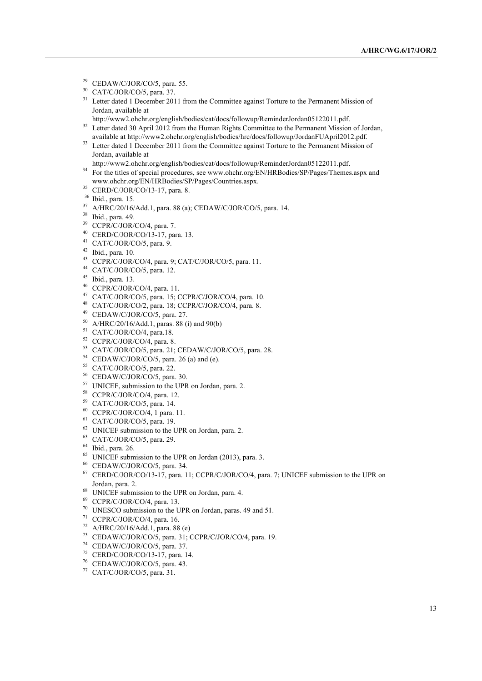- CEDAW/C/JOR/CO/5, para. 55.
- CAT/C/JOR/CO/5, para. 37.
- <sup>31</sup> Letter dated 1 December 2011 from the Committee against Torture to the Permanent Mission of Jordan, available at
- http://www2.ohchr.org/english/bodies/cat/docs/followup/ReminderJordan05122011.pdf.
- <sup>32</sup> Letter dated 30 April 2012 from the Human Rights Committee to the Permanent Mission of Jordan, available at http://www2.ohchr.org/english/bodies/hrc/docs/followup/JordanFUApril2012.pdf.
- <sup>33</sup> Letter dated 1 December 2011 from the Committee against Torture to the Permanent Mission of Jordan, available at

http://www2.ohchr.org/english/bodies/cat/docs/followup/ReminderJordan05122011.pdf.

- <sup>34</sup> For the titles of special procedures, see www.ohchr.org/EN/HRBodies/SP/Pages/Themes.aspx and www.ohchr.org/EN/HRBodies/SP/Pages/Countries.aspx.
- <sup>35</sup> CERD/C/JOR/CO/13-17, para. 8.
- Ibid., para. 15.
- A/HRC/20/16/Add.1, para. 88 (a); CEDAW/C/JOR/CO/5, para. 14.
- Ibid., para. 49.
- CCPR/C/JOR/CO/4, para. 7.
- CERD/C/JOR/CO/13-17, para. 13.
- CAT/C/JOR/CO/5, para. 9.
- Ibid., para. 10.
- CCPR/C/JOR/CO/4, para. 9; CAT/C/JOR/CO/5, para. 11.
- CAT/C/JOR/CO/5, para. 12.
- Ibid., para. 13.
- CCPR/C/JOR/CO/4, para. 11.
- CAT/C/JOR/CO/5, para. 15; CCPR/C/JOR/CO/4, para. 10.
- CAT/C/JOR/CO/2, para. 18; CCPR/C/JOR/CO/4, para. 8.
- CEDAW/C/JOR/CO/5, para. 27.
- A/HRC/20/16/Add.1, paras. 88 (i) and 90(b)
- <sup>51</sup> CAT/C/JOR/CO/4, para.18.
- CCPR/C/JOR/CO/4, para. 8.
- CAT/C/JOR/CO/5, para. 21; CEDAW/C/JOR/CO/5, para. 28.
- <sup>54</sup> CEDAW/C/JOR/CO/5, para. 26 (a) and (e).
- CAT/C/JOR/CO/5, para. 22.
- CEDAW/C/JOR/CO/5, para. 30.
- UNICEF, submission to the UPR on Jordan, para. 2.
- CCPR/C/JOR/CO/4, para. 12.
- CAT/C/JOR/CO/5, para. 14.
- CCPR/C/JOR/CO/4, 1 para. 11.
- CAT/C/JOR/CO/5, para. 19.
- UNICEF submission to the UPR on Jordan, para. 2.
- CAT/C/JOR/CO/5, para. 29.
- Ibid., para. 26.
- <sup>65</sup> UNICEF submission to the UPR on Jordan (2013), para. 3.
- CEDAW/C/JOR/CO/5, para. 34.
- CERD/C/JOR/CO/13-17, para. 11; CCPR/C/JOR/CO/4, para. 7; UNICEF submission to the UPR on Jordan, para. 2.
- UNICEF submission to the UPR on Jordan, para. 4.
- CCPR/C/JOR/CO/4, para. 13.
- UNESCO submission to the UPR on Jordan, paras. 49 and 51.
- CCPR/C/JOR/CO/4, para. 16.
- A/HRC/20/16/Add.1, para. 88 (e)
- CEDAW/C/JOR/CO/5, para. 31; CCPR/C/JOR/CO/4, para. 19.
- CEDAW/C/JOR/CO/5, para. 37.
- CERD/C/JOR/CO/13-17, para. 14.
- CEDAW/C/JOR/CO/5, para. 43.
- CAT/C/JOR/CO/5, para. 31.